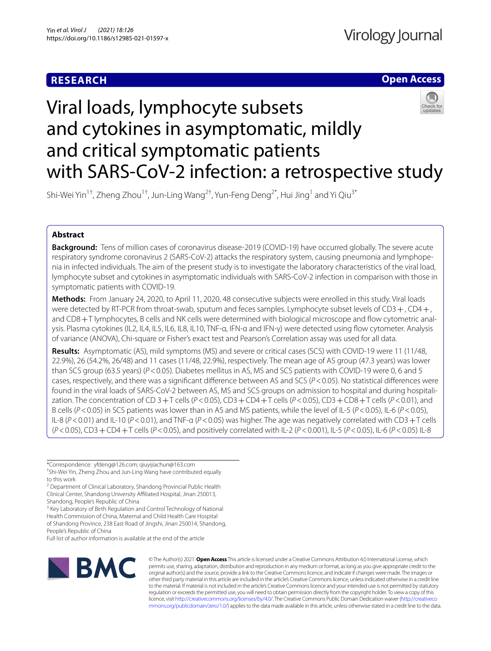# **RESEARCH**

# **Open Access**



# Viral loads, lymphocyte subsets and cytokines in asymptomatic, mildly and critical symptomatic patients with SARS-CoV-2 infection: a retrospective study

Shi-Wei Yin<sup>1†</sup>, Zheng Zhou<sup>1†</sup>, Jun-Ling Wang<sup>2†</sup>, Yun-Feng Deng<sup>2\*</sup>, Hui Jing<sup>1</sup> and Yi Qiu<sup>3\*</sup>

## **Abstract**

**Background:** Tens of million cases of coronavirus disease-2019 (COVID-19) have occurred globally. The severe acute respiratory syndrome coronavirus 2 (SARS-CoV-2) attacks the respiratory system, causing pneumonia and lymphopenia in infected individuals. The aim of the present study is to investigate the laboratory characteristics of the viral load, lymphocyte subset and cytokines in asymptomatic individuals with SARS-CoV-2 infection in comparison with those in symptomatic patients with COVID-19.

**Methods:** From January 24, 2020, to April 11, 2020, 48 consecutive subjects were enrolled in this study. Viral loads were detected by RT-PCR from throat-swab, sputum and feces samples. Lymphocyte subset levels of CD3+, CD4+, and CD8+T lymphocytes, B cells and NK cells were determined with biological microscope and flow cytometric analysis. Plasma cytokines (IL2, IL4, IL5, IL6, IL8, IL10, TNF-α, IFN-α and IFN-γ) were detected using fow cytometer. Analysis of variance (ANOVA), Chi-square or Fisher's exact test and Pearson's Correlation assay was used for all data.

**Results:** Asymptomatic (AS), mild symptoms (MS) and severe or critical cases (SCS) with COVID-19 were 11 (11/48, 22.9%), 26 (54.2%, 26/48) and 11 cases (11/48, 22.9%), respectively. The mean age of AS group (47.3 years) was lower than SCS group (63.5 years) (*P*<0.05). Diabetes mellitus in AS, MS and SCS patients with COVID-19 were 0, 6 and 5 cases, respectively, and there was a signifcant diference between AS and SCS (*P*<0.05). No statistical diferences were found in the viral loads of SARS-CoV-2 between AS, MS and SCS groups on admission to hospital and during hospitalization. The concentration of CD 3+T cells (*P*<0.05), CD3+CD4+T cells (*P*<0.05), CD3+CD8+T cells (*P*<0.01), and B cells (*P*<0.05) in SCS patients was lower than in AS and MS patients, while the level of IL-5 (*P*<0.05), IL-6 (*P*<0.05), IL-8 (*P*<0.01) and IL-10 (*P*<0.01), and TNF-α (*P*<0.05) was higher. The age was negatively correlated with CD3+T cells (*P*<0.05), CD3+CD4+T cells (*P*<0.05), and positively correlated with IL-2 (*P*<0.001), IL-5 (*P*<0.05), IL-6 (*P*<0.05) IL-8

\*Correspondence: yfdeng@126.com; qiuyijiachun@163.com

† Shi-Wei Yin, Zheng Zhou and Jun-Ling Wang have contributed equally to this work

<sup>2</sup> Department of Clinical Laboratory, Shandong Provincial Public Health Clinical Center, Shandong University Afliated Hospital, Jinan 250013, Shandong, People's Republic of China

<sup>3</sup> Key Laboratory of Birth Regulation and Control Technology of National Health Commission of China, Maternal and Child Health Care Hospital of Shandong Province, 238 East Road of Jingshi, Jinan 250014, Shandong, People's Republic of China

Full list of author information is available at the end of the article



© The Author(s) 2021. **Open Access** This article is licensed under a Creative Commons Attribution 4.0 International License, which permits use, sharing, adaptation, distribution and reproduction in any medium or format, as long as you give appropriate credit to the original author(s) and the source, provide a link to the Creative Commons licence, and indicate if changes were made. The images or other third party material in this article are included in the article's Creative Commons licence, unless indicated otherwise in a credit line to the material. If material is not included in the article's Creative Commons licence and your intended use is not permitted by statutory regulation or exceeds the permitted use, you will need to obtain permission directly from the copyright holder. To view a copy of this licence, visit [http://creativecommons.org/licenses/by/4.0/.](http://creativecommons.org/licenses/by/4.0/) The Creative Commons Public Domain Dedication waiver ([http://creativeco](http://creativecommons.org/publicdomain/zero/1.0/) [mmons.org/publicdomain/zero/1.0/](http://creativecommons.org/publicdomain/zero/1.0/)) applies to the data made available in this article, unless otherwise stated in a credit line to the data.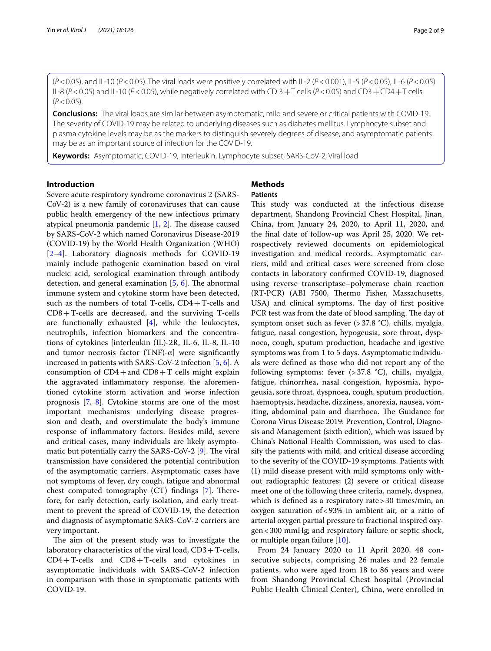(*P*<0.05), and IL-10 (*P*<0.05). The viral loads were positively correlated with IL-2 (*P*<0.001), IL-5 (*P*<0.05), IL-6 (*P*<0.05) IL-8 (*P*<0.05) and IL-10 (*P*<0.05), while negatively correlated with CD 3+T cells (*P*<0.05) and CD3+CD4+T cells  $(P < 0.05)$ .

**Conclusions:** The viral loads are similar between asymptomatic, mild and severe or critical patients with COVID-19. The severity of COVID-19 may be related to underlying diseases such as diabetes mellitus. Lymphocyte subset and plasma cytokine levels may be as the markers to distinguish severely degrees of disease, and asymptomatic patients may be as an important source of infection for the COVID-19.

**Keywords:** Asymptomatic, COVID-19, Interleukin, Lymphocyte subset, SARS-CoV-2, Viral load

## **Introduction**

Severe acute respiratory syndrome coronavirus 2 (SARS-CoV-2) is a new family of coronaviruses that can cause public health emergency of the new infectious primary atypical pneumonia pandemic  $[1, 2]$  $[1, 2]$  $[1, 2]$  $[1, 2]$  $[1, 2]$ . The disease caused by SARS-CoV-2 which named Coronavirus Disease-2019 (COVID-19) by the World Health Organization (WHO) [[2–](#page-8-0)[4\]](#page-8-1). Laboratory diagnosis methods for COVID-19 mainly include pathogenic examination based on viral nucleic acid, serological examination through antibody detection, and general examination  $[5, 6]$  $[5, 6]$  $[5, 6]$  $[5, 6]$ . The abnormal immune system and cytokine storm have been detected, such as the numbers of total T-cells,  $CD4+T$ -cells and CD8+T-cells are decreased, and the surviving T-cells are functionally exhausted  $[4]$  $[4]$ , while the leukocytes, neutrophils, infection biomarkers and the concentrations of cytokines [interleukin (IL)-2R, IL-6, IL-8, IL-10 and tumor necrosis factor (TNF)- $\alpha$ ] were significantly increased in patients with SARS-CoV-2 infection [[5](#page-8-2), [6\]](#page-8-3). A consumption of  $CD4+$ and  $CD8+T$  cells might explain the aggravated infammatory response, the aforementioned cytokine storm activation and worse infection prognosis [\[7](#page-8-4), [8\]](#page-8-5). Cytokine storms are one of the most important mechanisms underlying disease progression and death, and overstimulate the body's immune response of infammatory factors. Besides mild, severe and critical cases, many individuals are likely asymptomatic but potentially carry the SARS-CoV-2  $[9]$ . The viral transmission have considered the potential contribution of the asymptomatic carriers. Asymptomatic cases have not symptoms of fever, dry cough, fatigue and abnormal chest computed tomography  $(CT)$  findings  $[7]$  $[7]$ . Therefore, for early detection, early isolation, and early treatment to prevent the spread of COVID-19, the detection and diagnosis of asymptomatic SARS-CoV-2 carriers are very important.

The aim of the present study was to investigate the laboratory characteristics of the viral load,  $CD3 + T$ -cells, CD4+T-cells and CD8+T-cells and cytokines in asymptomatic individuals with SARS-CoV-2 infection in comparison with those in symptomatic patients with COVID-19.

## **Methods**

## **Patients**

This study was conducted at the infectious disease department, Shandong Provincial Chest Hospital, Jinan, China, from January 24, 2020, to April 11, 2020, and the fnal date of follow-up was April 25, 2020. We retrospectively reviewed documents on epidemiological investigation and medical records. Asymptomatic carriers, mild and critical cases were screened from close contacts in laboratory confrmed COVID-19, diagnosed using reverse transcriptase–polymerase chain reaction (RT-PCR) (ABI 7500, Thermo Fisher, Massachusetts, USA) and clinical symptoms. The day of first positive PCR test was from the date of blood sampling. The day of symptom onset such as fever (>37.8 °C), chills, myalgia, fatigue, nasal congestion, hypogeusia, sore throat, dyspnoea, cough, sputum production, headache and igestive symptoms was from 1 to 5 days. Asymptomatic individuals were defned as those who did not report any of the following symptoms: fever (>37.8 °C), chills, myalgia, fatigue, rhinorrhea, nasal congestion, hyposmia, hypogeusia, sore throat, dyspnoea, cough, sputum production, haemoptysis, headache, dizziness, anorexia, nausea, vomiting, abdominal pain and diarrhoea. The Guidance for Corona Virus Disease 2019: Prevention, Control, Diagnosis and Management (sixth edition), which was issued by China's National Health Commission, was used to classify the patients with mild, and critical disease according to the severity of the COVID-19 symptoms. Patients with (1) mild disease present with mild symptoms only without radiographic features; (2) severe or critical disease meet one of the following three criteria, namely, dyspnea, which is defined as a respiratory rate > 30 times/min, an oxygen saturation of<93% in ambient air, or a ratio of arterial oxygen partial pressure to fractional inspired oxygen<300 mmHg; and respiratory failure or septic shock, or multiple organ failure [[10\]](#page-8-7).

From 24 January 2020 to 11 April 2020, 48 consecutive subjects, comprising 26 males and 22 female patients, who were aged from 18 to 86 years and were from Shandong Provincial Chest hospital (Provincial Public Health Clinical Center), China, were enrolled in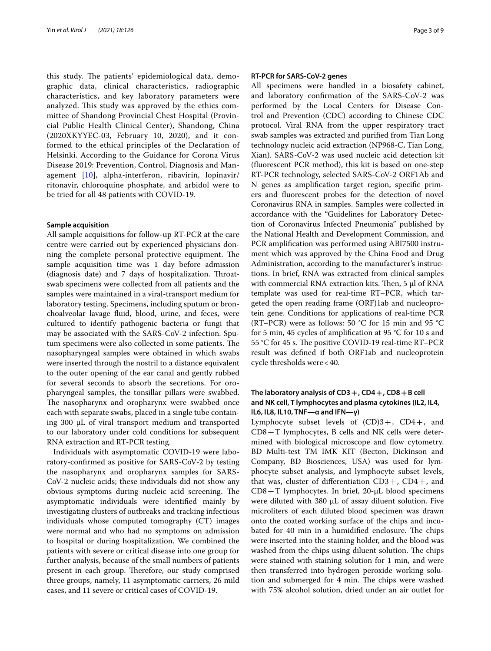this study. The patients' epidemiological data, demographic data, clinical characteristics, radiographic characteristics, and key laboratory parameters were analyzed. This study was approved by the ethics committee of Shandong Provincial Chest Hospital (Provincial Public Health Clinical Center), Shandong, China (2020XKYYEC-03, February 10, 2020), and it conformed to the ethical principles of the Declaration of Helsinki. According to the Guidance for Corona Virus Disease 2019: Prevention, Control, Diagnosis and Management [[10\]](#page-8-7), alpha-interferon, ribavirin, lopinavir/ ritonavir, chloroquine phosphate, and arbidol were to be tried for all 48 patients with COVID-19.

## **Sample acquisition**

All sample acquisitions for follow-up RT-PCR at the care centre were carried out by experienced physicians donning the complete personal protective equipment. The sample acquisition time was 1 day before admission (diagnosis date) and 7 days of hospitalization. Throatswab specimens were collected from all patients and the samples were maintained in a viral-transport medium for laboratory testing. Specimens, including sputum or bronchoalveolar lavage fuid, blood, urine, and feces, were cultured to identify pathogenic bacteria or fungi that may be associated with the SARS-CoV-2 infection. Sputum specimens were also collected in some patients. The nasopharyngeal samples were obtained in which swabs were inserted through the nostril to a distance equivalent to the outer opening of the ear canal and gently rubbed for several seconds to absorb the secretions. For oropharyngeal samples, the tonsillar pillars were swabbed. The nasopharynx and oropharynx were swabbed once each with separate swabs, placed in a single tube containing 300 µL of viral transport medium and transported to our laboratory under cold conditions for subsequent RNA extraction and RT-PCR testing.

Individuals with asymptomatic COVID-19 were laboratory-confrmed as positive for SARS-CoV-2 by testing the nasopharynx and oropharynx samples for SARS-CoV-2 nucleic acids; these individuals did not show any obvious symptoms during nucleic acid screening. The asymptomatic individuals were identifed mainly by investigating clusters of outbreaks and tracking infectious individuals whose computed tomography (CT) images were normal and who had no symptoms on admission to hospital or during hospitalization. We combined the patients with severe or critical disease into one group for further analysis, because of the small numbers of patients present in each group. Therefore, our study comprised three groups, namely, 11 asymptomatic carriers, 26 mild cases, and 11 severe or critical cases of COVID-19.

## **RT‑PCR for SARS‑CoV‑2 genes**

All specimens were handled in a biosafety cabinet, and laboratory confrmation of the SARS-CoV-2 was performed by the Local Centers for Disease Control and Prevention (CDC) according to Chinese CDC protocol. Viral RNA from the upper respiratory tract swab samples was extracted and purifed from Tian Long technology nucleic acid extraction (NP968-C, Tian Long, Xian). SARS-CoV-2 was used nucleic acid detection kit (fuorescent PCR method), this kit is based on one-step RT-PCR technology, selected SARS-CoV-2 ORF1Ab and N genes as amplifcation target region, specifc primers and fuorescent probes for the detection of novel Coronavirus RNA in samples. Samples were collected in accordance with the "Guidelines for Laboratory Detection of Coronavirus Infected Pneumonia" published by the National Health and Development Commission, and PCR amplifcation was performed using ABI7500 instrument which was approved by the China Food and Drug Administration, according to the manufacturer's instructions. In brief, RNA was extracted from clinical samples with commercial RNA extraction kits. Then, 5 μl of RNA template was used for real‐time RT–PCR, which targeted the open reading frame (ORF)1ab and nucleoprotein gene. Conditions for applications of real-time PCR (RT–PCR) were as follows: 50  $^{\circ}$ C for 15 min and 95  $^{\circ}$ C for 5 min, 45 cycles of amplifcation at 95 °C for 10 s and 55 °C for 45 s. The positive COVID-19 real-time RT–PCR result was defned if both ORF1ab and nucleoprotein cycle thresholds were<40.

## **The laboratory analysis of CD3+, CD4+, CD8+B cell and NK cell, T lymphocytes and plasma cytokines (IL2, IL4, IL6, IL8, IL10, TNF—α and IFN—γ)**

Lymphocyte subset levels of  $(CD)3+$ ,  $CD4+$ , and CD8+T lymphocytes, B cells and NK cells were determined with biological microscope and flow cytometry. BD Multi-test TM IMK KIT (Becton, Dickinson and Company, BD Biosciences, USA) was used for lymphocyte subset analysis, and lymphocyte subset levels, that was, cluster of differentiation  $CD3+$ ,  $CD4+$ , and  $CD8+T$  lymphocytes. In brief, 20- $\mu$ L blood specimens were diluted with 380 µL of assay diluent solution. Five microliters of each diluted blood specimen was drawn onto the coated working surface of the chips and incubated for 40 min in a humidified enclosure. The chips were inserted into the staining holder, and the blood was washed from the chips using diluent solution. The chips were stained with staining solution for 1 min, and were then transferred into hydrogen peroxide working solution and submerged for 4 min. The chips were washed with 75% alcohol solution, dried under an air outlet for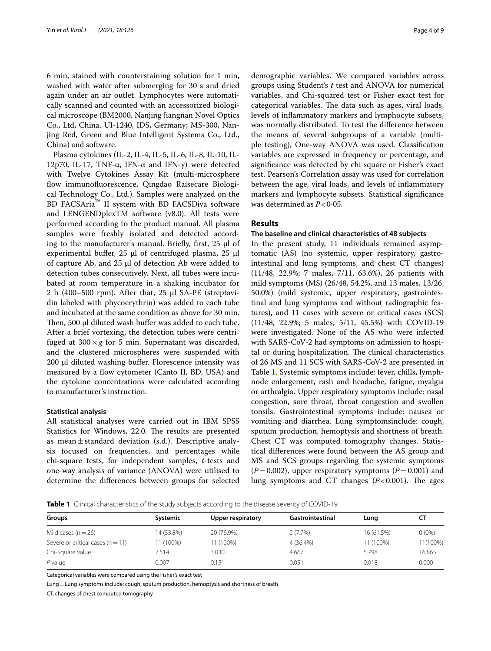6 min, stained with counterstaining solution for 1 min, washed with water after submerging for 30 s and dried again under an air outlet. Lymphocytes were automatically scanned and counted with an accessorized biological microscope (BM2000, Nanjing Jiangnan Novel Optics Co., Ltd, China. UI-1240, IDS, Germany; MS-300, Nanjing Red, Green and Blue Intelligent Systems Co., Ltd., China) and software.

Plasma cytokines (IL-2, IL-4, IL-5, IL-6, IL-8, IL-10, IL-12p70, IL-17, TNF-α, IFN-α and IFN-γ) were detected with Twelve Cytokines Assay Kit (multi-microsphere flow immunofluorescence, Qingdao Raisecare Biological Technology Co., Ltd.). Samples were analyzed on the BD FACSAria™ II system with BD FACSDiva software and LENGENDplexTM software (v8.0). All tests were performed according to the product manual. All plasma samples were freshly isolated and detected according to the manufacturer's manual. Briefly, first,  $25 \mu l$  of experimental buffer,  $25 \mu l$  of centrifuged plasma,  $25 \mu l$ of capture Ab, and  $25 \mu l$  of detection Ab were added to detection tubes consecutively. Next, all tubes were incubated at room temperature in a shaking incubator for 2 h (400–500 rpm). After that,  $25 \mu$  SA-PE (streptavidin labeled with phycoerythrin) was added to each tube and incubated at the same condition as above for 30 min. Then, 500 µl diluted wash buffer was added to each tube. After a brief vortexing, the detection tubes were centrifuged at  $300 \times g$  for 5 min. Supernatant was discarded, and the clustered microspheres were suspended with  $200$   $\mu$ l diluted washing buffer. Florescence intensity was measured by a flow cytometer (Canto II, BD, USA) and the cytokine concentrations were calculated according to manufacturer's instruction.

## **Statistical analysis**

All statistical analyses were carried out in IBM SPSS Statistics for Windows, 22.0. The results are presented as mean $\pm$ standard deviation (s.d.). Descriptive analysis focused on frequencies, and percentages while chi-square tests, for independent samples, *t*-tests and one-way analysis of variance (ANOVA) were utilised to determine the diferences between groups for selected demographic variables. We compared variables across groups using Student's *t* test and ANOVA for numerical variables, and Chi-squared test or Fisher exact test for categorical variables. The data such as ages, viral loads, levels of infammatory markers and lymphocyte subsets, was normally distributed. To test the diference between the means of several subgroups of a variable (multiple testing), One-way ANOVA was used. Classifcation variables are expressed in frequency or percentage, and signifcance was detected by chi square or Fisher's exact test. Pearson's Correlation assay was used for correlation between the age, viral loads, and levels of infammatory markers and lymphocyte subsets. Statistical signifcance was determined as *P*<0·05.

## **Results**

## **The baseline and clinical characteristics of 48 subjects**

In the present study, 11 individuals remained asymptomatic (AS) (no systemic, upper respiratory, gastrointestinal and lung symptoms, and chest CT changes) (11/48, 22.9%; 7 males, 7/11, 63.6%), 26 patients with mild symptoms (MS) (26/48, 54.2%, and 13 males, 13/26, 50.0%) (mild systemic, upper respiratory, gastrointestinal and lung symptoms and without radiographic features), and 11 cases with severe or critical cases (SCS) (11/48, 22.9%; 5 males, 5/11, 45.5%) with COVID-19 were investigated. None of the AS who were infected with SARS-CoV-2 had symptoms on admission to hospital or during hospitalization. The clinical characteristics of 26 MS and 11 SCS with SARS-CoV-2 are presented in Table [1](#page-3-0). Systemic symptoms include: fever, chills, lymphnode enlargement, rash and headache, fatigue, myalgia or arthralgia. Upper respiratory symptoms include: nasal congestion, sore throat, throat congestion and swollen tonsils. Gastrointestinal symptoms include: nausea or vomiting and diarrhea. Lung symptomsinclude: cough, sputum production, hemoptysis and shortness of breath. Chest CT was computed tomography changes. Statistical diferences were found between the AS group and MS and SCS groups regarding the systemic symptoms  $(P=0.002)$ , upper respiratory symptoms  $(P=0.001)$  and lung symptoms and CT changes  $(P<0.001)$ . The ages

<span id="page-3-0"></span>**Table 1** Clinical characteristics of the study subjects according to the disease severity of COVID-19

| Groups                              | Systemic   | <b>Upper respiratory</b> | Gastrointestinal | Luna       | <b>CI</b> |
|-------------------------------------|------------|--------------------------|------------------|------------|-----------|
| Mild cases ( $n = 26$ )             | 14 (53.8%) | 20 (76.9%)               | $2(7.7\%)$       | 16 (61.5%) | $0(0\%)$  |
| Severe or critical cases $(n = 11)$ | 11 (100%)  | 11 (100%)                | 4 (36.4%)        | 11 (100%)  | 11(100%)  |
| Chi-Square value                    | 7.514      | 3.030                    | 4.667            | 5.798      | 16.865    |
| $P$ value                           | 0.007      | 0.151                    | 0.051            | 0.018      | 0.000     |

Categorical variables were compared using the Fisher's exact test

Lung=Lung symptoms include: cough, sputum production, hemoptysis and shortness of breath

CT, changes of chest computed tomography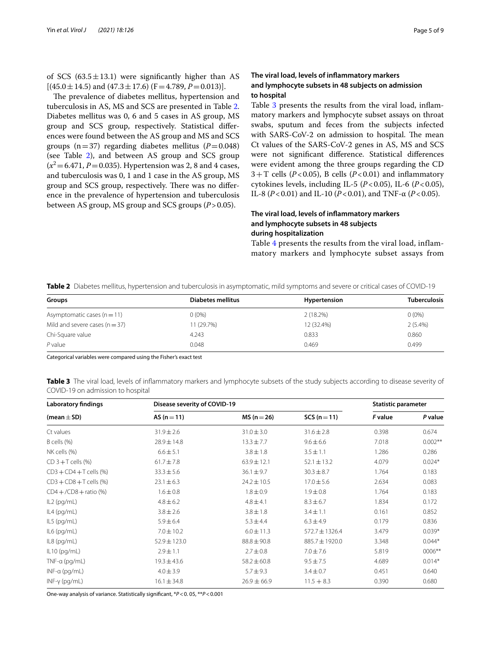of SCS  $(63.5 \pm 13.1)$  were significantly higher than AS  $[(45.0 \pm 14.5)$  and  $(47.3 \pm 17.6)$   $(F=4.789, P=0.013)]$ .

The prevalence of diabetes mellitus, hypertension and tuberculosis in AS, MS and SCS are presented in Table [2](#page-4-0). Diabetes mellitus was 0, 6 and 5 cases in AS group, MS group and SCS group, respectively. Statistical diferences were found between the AS group and MS and SCS groups  $(n=37)$  regarding diabetes mellitus  $(P=0.048)$ (see Table [2](#page-4-0)), and between AS group and SCS group  $(x^2 = 6.471, P = 0.035)$ . Hypertension was 2, 8 and 4 cases, and tuberculosis was 0, 1 and 1 case in the AS group, MS group and SCS group, respectively. There was no difference in the prevalence of hypertension and tuberculosis between AS group, MS group and SCS groups (*P*>0.05).

## **The viral load, levels of infammatory markers and lymphocyte subsets in 48 subjects on admission to hospital**

Table [3](#page-4-1) presents the results from the viral load, inflammatory markers and lymphocyte subset assays on throat swabs, sputum and feces from the subjects infected with SARS-CoV-2 on admission to hospital. The mean Ct values of the SARS-CoV-2 genes in AS, MS and SCS were not signifcant diference. Statistical diferences were evident among the three groups regarding the CD  $3+T$  cells ( $P < 0.05$ ), B cells ( $P < 0.01$ ) and inflammatory cytokines levels, including IL-5  $(P<0.05)$ , IL-6  $(P<0.05)$ , IL-8 (*P*<0.01) and IL-10 (*P*<0.01), and TNF-α (*P*<0.05).

## **The viral load, levels of infammatory markers and lymphocyte subsets in 48 subjects during hospitalization**

Table [4](#page-5-0) presents the results from the viral load, inflammatory markers and lymphocyte subset assays from

<span id="page-4-0"></span>**Table 2** Diabetes mellitus, hypertension and tuberculosis in asymptomatic, mild symptoms and severe or critical cases of COVID-19

| Groups                           | Diabetes mellitus | Hypertension | <b>Tuberculosis</b> |
|----------------------------------|-------------------|--------------|---------------------|
| Asymptomatic cases $(n=11)$      | $0(0\%)$          | 2(18.2%)     | $0(0\%)$            |
| Mild and severe cases $(n = 37)$ | 11 (29.7%)        | 12 (32.4%)   | $2(5.4\%)$          |
| Chi-Square value                 | 4.243             | 0.833        | 0.860               |
| $P$ value                        | 0.048             | 0.469        | 0.499               |

Categorical variables were compared using the Fisher's exact test

<span id="page-4-1"></span>**Table 3** The viral load, levels of inflammatory markers and lymphocyte subsets of the study subjects according to disease severity of COVID-19 on admission to hospital

| <b>Laboratory findings</b> | <b>Disease severity of COVID-19</b> | <b>Statistic parameter</b> |                    |         |           |
|----------------------------|-------------------------------------|----------------------------|--------------------|---------|-----------|
| (mean $\pm$ SD)            | $AS(n=11)$                          | $MS (n = 26)$              | $SCS(n=11)$        | F value | P value   |
| Ct values                  | $31.9 \pm 2.6$                      | $31.0 \pm 3.0$             | $31.6 \pm 2.8$     | 0.398   | 0.674     |
| B cells (%)                | 28.9±14.8                           | $13.3 \pm 7.7$             | $9.6 \pm 6.6$      | 7.018   | $0.002**$ |
| NK cells (%)               | $6.6 \pm 5.1$                       | $3.8 \pm 1.8$              | $3.5 \pm 1.1$      | 1.286   | 0.286     |
| $CD$ 3 + T cells $(\%)$    | $61.7 \pm 7.8$                      | $63.9 \pm 12.1$            | $52.1 \pm 13.2$    | 4.079   | $0.024*$  |
| $CD3 + CD4 + T$ cells (%)  | $33.3 \pm 5.6$                      | $36.1 \pm 9.7$             | $30.3 \pm 8.7$     | 1.764   | 0.183     |
| $CD3 + CD8 + T$ cells (%)  | $23.1 \pm 6.3$                      | $24.2 \pm 10.5$            | $17.0 \pm 5.6$     | 2.634   | 0.083     |
| $CD4 + /CD8 +$ ratio (%)   | $1.6 \pm 0.8$                       | $1.8 \pm 0.9$              | $1.9 \pm 0.8$      | 1.764   | 0.183     |
| IL2 (pg/mL)                | $4.8 \pm 6.2$                       | $4.8 \pm 4.1$              | $8.3 \pm 6.7$      | 1.834   | 0.172     |
| $IL4$ (pg/mL)              | $3.8 \pm 2.6$                       | $3.8 \pm 1.8$              | $3.4 \pm 1.1$      | 0.161   | 0.852     |
| $IL5$ (pg/mL)              | $5.9 \pm 6.4$                       | $5.3 \pm 4.4$              | $6.3 \pm 4.9$      | 0.179   | 0.836     |
| $IL6$ (pg/mL)              | $7.0 \pm 10.2$                      | $6.0 \pm 11.3$             | $572.7 \pm 1326.4$ | 3.479   | $0.039*$  |
| $IL8$ (pg/mL)              | $52.9 \pm 123.0$                    | $88.8 \pm 90.8$            | 885.7±1920.0       | 3.348   | $0.044*$  |
| $IL10$ (pg/mL)             | $2.9 \pm 1.1$                       | $2.7 \pm 0.8$              | $7.0 \pm 7.6$      | 5.819   | $0006***$ |
| $TNF-a$ (pg/mL)            | $19.3 \pm 43.6$                     | $58.2 \pm 60.8$            | $9.5 \pm 7.5$      | 4.689   | $0.014*$  |
| $INF-a$ (pg/mL)            | $4.0 \pm 3.9$                       | $5.7 \pm 9.3$              | $3.4 \pm 0.7$      | 0.451   | 0.640     |
| $INF-\gamma$ (pg/mL)       | $16.1 \pm 34.8$                     | $26.9 \pm 66.9$            | $11.5 + 8.3$       | 0.390   | 0.680     |

One‐way analysis of variance. Statistically signifcant, \**P*<0. 05, \*\**P*<0.001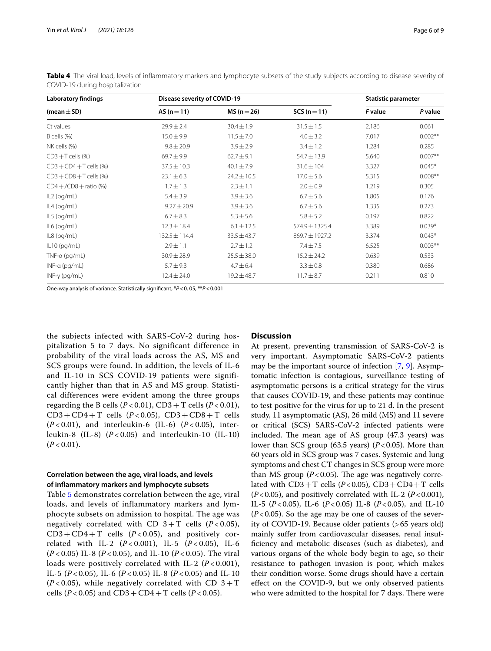| <b>Laboratory findings</b> | <b>Disease severity of COVID-19</b> |                 |                 | Statistic parameter |            |
|----------------------------|-------------------------------------|-----------------|-----------------|---------------------|------------|
| (mean $\pm$ SD)            | $AS(n=11)$                          | $MS (n = 26)$   | $SCS(n=11)$     | <b>F</b> value      | P value    |
| Ct values                  | $29.9 \pm 2.4$                      | $30.4 \pm 1.9$  | $31.5 \pm 1.5$  | 2.186               | 0.061      |
| B cells (%)                | $15.0 \pm 9.9$                      | $11.5 \pm 7.0$  | $4.0 \pm 3.2$   | 7.017               | $0.002**$  |
| NK cells (%)               | $9.8 \pm 20.9$                      | $3.9 \pm 2.9$   | $3.4 \pm 1.2$   | 1.284               | 0.285      |
| $CD3+T$ cells $(\%)$       | $69.7 + 9.9$                        | $62.7 \pm 9.1$  | 54.7 ± 13.9     | 5.640               | $0.007**$  |
| $CD3 + CD4 + T$ cells (%)  | $37.5 \pm 10.3$                     | $40.1 \pm 7.9$  | $31.6 \pm 104$  | 3.327               | $0.045*$   |
| $CD3 + CD8 + T$ cells (%)  | $23.1 \pm 6.3$                      | $24.2 \pm 10.5$ | $17.0 \pm 5.6$  | 5.315               | $0.008**$  |
| $CD4 + /CD8 +$ ratio (%)   | $1.7 \pm 1.3$                       | $2.3 \pm 1.1$   | $2.0 \pm 0.9$   | 1.219               | 0.305      |
| $IL2$ (pg/mL)              | $5.4 \pm 3.9$                       | $3.9 \pm 3.6$   | $6.7 \pm 5.6$   | 1.805               | 0.176      |
| IL4 (pg/mL)                | $9.27 \pm 20.9$                     | $3.9 \pm 3.6$   | $6.7 \pm 5.6$   | 1.335               | 0.273      |
| $IL5$ (pg/mL)              | $6.7 \pm 8.3$                       | $5.3 \pm 5.6$   | $5.8 \pm 5.2$   | 0.197               | 0.822      |
| $IL6$ (pg/mL)              | $12.3 \pm 18.4$                     | $6.1 \pm 12.5$  | 574.9±1325.4    | 3.389               | $0.039*$   |
| $IL8$ (pg/mL)              | $132.5 \pm 114.4$                   | $33.5 \pm 43.7$ | 869.7±1927.2    | 3.374               | $0.043*$   |
| $IL10$ (pg/mL)             | $2.9 \pm 1.1$                       | $2.7 \pm 1.2$   | $7.4 \pm 7.5$   | 6.525               | $0.003***$ |
| $TNF-a$ (pg/mL)            | $30.9 \pm 28.9$                     | $25.5 \pm 38.0$ | $15.2 \pm 24.2$ | 0.639               | 0.533      |
| $INF-a$ (pg/mL)            | $5.7 \pm 9.3$                       | $4.7 \pm 6.4$   | $3.3 \pm 0.8$   | 0.380               | 0.686      |
| $INF-\gamma$ (pg/mL)       | $12.4 \pm 24.0$                     | $19.2 \pm 48.7$ | $11.7 \pm 8.7$  | 0.211               | 0.810      |

<span id="page-5-0"></span>**Table 4** The viral load, levels of inflammatory markers and lymphocyte subsets of the study subjects according to disease severity of COVID-19 during hospitalization

One‐way analysis of variance. Statistically signifcant, \**P*<0. 05, \*\**P*<0.001

the subjects infected with SARS-CoV-2 during hospitalization 5 to 7 days. No significant difference in probability of the viral loads across the AS, MS and SCS groups were found. In addition, the levels of IL-6 and IL-10 in SCS COVID-19 patients were significantly higher than that in AS and MS group. Statistical differences were evident among the three groups regarding the B cells  $(P<0.01)$ , CD3 + T cells  $(P<0.01)$ ,  $CD3 + CD4 + T$  cells  $(P < 0.05)$ ,  $CD3 + CD8 + T$  cells (*P* < 0.01), and interleukin-6 (IL-6) (*P* < 0.05), interleukin-8 (IL-8) (*P* < 0.05) and interleukin-10 (IL-10)  $(P < 0.01)$ .

## **Correlation between the age, viral loads, and levels of infammatory markers and lymphocyte subsets**

Table [5](#page-6-0) demonstrates correlation between the age, viral loads, and levels of inflammatory markers and lymphocyte subsets on admission to hospital. The age was negatively correlated with CD  $3+T$  cells ( $P < 0.05$ ),  $CD3 + CD4 + T$  cells ( $P < 0.05$ ), and positively correlated with IL-2 (*P* < 0.001), IL-5 (*P* < 0.05), IL-6 (*P* < 0.05) IL-8 (*P* < 0.05), and IL-10 (*P* < 0.05). The viral loads were positively correlated with IL-2 (*P* < 0.001), IL-5 (*P* < 0.05), IL-6 (*P* < 0.05) IL-8 (*P* < 0.05) and IL-10  $(P<0.05)$ , while negatively correlated with CD  $3+T$ cells (*P* < 0.05) and CD3 + CD4 + T cells (*P* < 0.05).

## **Discussion**

At present, preventing transmission of SARS-CoV-2 is very important. Asymptomatic SARS-CoV-2 patients may be the important source of infection [\[7](#page-8-4), [9\]](#page-8-6). Asymptomatic infection is contagious, surveillance testing of asymptomatic persons is a critical strategy for the virus that causes COVID-19, and these patients may continue to test positive for the virus for up to 21 d. In the present study, 11 asymptomatic (AS), 26 mild (MS) and 11 severe or critical (SCS) SARS-CoV-2 infected patients were included. The mean age of AS group (47.3 years) was lower than SCS group (63.5 years)  $(P<0.05)$ . More than 60 years old in SCS group was 7 cases. Systemic and lung symptoms and chest CT changes in SCS group were more than MS group  $(P<0.05)$ . The age was negatively correlated with  $CD3+T$  cells ( $P < 0.05$ ),  $CD3+CD4+T$  cells  $(P<0.05)$ , and positively correlated with IL-2  $(P<0.001)$ , IL-5 (*P*<0.05), IL-6 (*P*<0.05) IL-8 (*P*<0.05), and IL-10  $(P<0.05)$ . So the age may be one of causes of the severity of COVID-19. Because older patients (>65 years old) mainly sufer from cardiovascular diseases, renal insuffciency and metabolic diseases (such as diabetes), and various organs of the whole body begin to age, so their resistance to pathogen invasion is poor, which makes their condition worse. Some drugs should have a certain efect on the COVID-9, but we only observed patients who were admitted to the hospital for 7 days. There were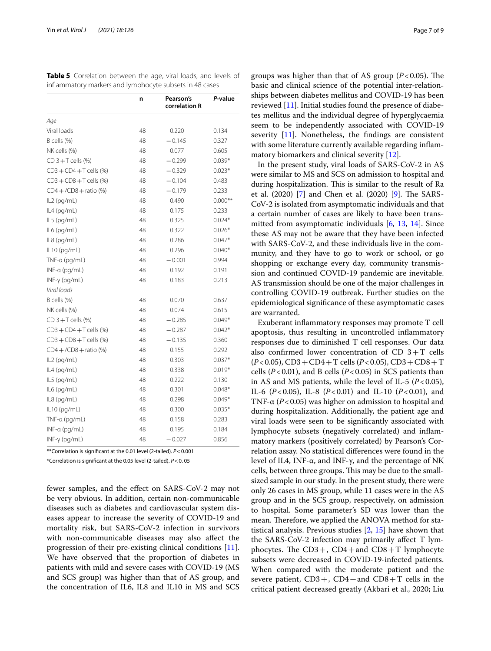<span id="page-6-0"></span>**Table 5** Correlation between the age, viral loads, and levels of infammatory markers and lymphocyte subsets in 48 cases

|                           | n  | Pearson's<br>correlation R | P-value   |
|---------------------------|----|----------------------------|-----------|
| Age                       |    |                            |           |
| Viral loads               | 48 | 0.220                      | 0.134     |
| B cells (%)               | 48 | $-0.145$                   | 0.327     |
| NK cells (%)              | 48 | 0.077                      | 0.605     |
| $CD$ 3 + T cells $(%)$    | 48 | $-0.299$                   | $0.039*$  |
| $CD3 + CD4 + T$ cells (%) | 48 | $-0.329$                   | $0.023*$  |
| $CD3 + CD8 + T$ cells (%) | 48 | $-0.104$                   | 0.483     |
| $CD4 + /CD8 +$ ratio (%)  | 48 | $-0.179$                   | 0.233     |
| IL2 (pg/mL)               | 48 | 0.490                      | $0.000**$ |
| IL4 (pg/mL)               | 48 | 0.175                      | 0.233     |
| IL5 (pg/mL)               | 48 | 0.325                      | $0.024*$  |
| IL6 (pg/mL)               | 48 | 0.322                      | $0.026*$  |
| IL8 (pg/mL)               | 48 | 0.286                      | $0.047*$  |
| IL10 (pg/mL)              | 48 | 0.296                      | $0.040*$  |
| TNF-a (pg/mL)             | 48 | $-0.001$                   | 0.994     |
| $INF-a$ (pg/mL)           | 48 | 0.192                      | 0.191     |
| $INF-\gamma$ (pg/mL)      | 48 | 0.183                      | 0.213     |
| Viral loads               |    |                            |           |
| B cells (%)               | 48 | 0.070                      | 0.637     |
| NK cells (%)              | 48 | 0.074                      | 0.615     |
| $CD$ 3 + T cells $(%)$    | 48 | $-0.285$                   | $0.049*$  |
| $CD3 + CD4 + T$ cells (%) | 48 | $-0.287$                   | $0.042*$  |
| $CD3 + CD8 + T$ cells (%) | 48 | $-0.135$                   | 0.360     |
| $CD4 + /CD8 +$ ratio (%)  | 48 | 0.155                      | 0.292     |
| IL2 (pg/mL)               | 48 | 0.303                      | $0.037*$  |
| IL4 (pg/mL)               | 48 | 0.338                      | $0.019*$  |
| IL5 (pg/mL)               | 48 | 0.222                      | 0.130     |
| IL6 (pg/mL)               | 48 | 0.301                      | $0.048*$  |
| IL8 (pg/mL)               | 48 | 0.298                      | $0.049*$  |
| IL10 (pg/mL)              | 48 | 0.300                      | $0.035*$  |
| TNF-a (pg/mL)             | 48 | 0.158                      | 0.283     |
| $INF-a$ (pg/mL)           | 48 | 0.195                      | 0.184     |
| $INF-\gamma$ (pg/mL)      | 48 | $-0.027$                   | 0.856     |

\*\*Correlation is signifcant at the 0.01 level (2-tailed). *P*<0.001

\*Correlation is signifcant at the 0.05 level (2-tailed). *P*<0. 05

fewer samples, and the efect on SARS-CoV-2 may not be very obvious. In addition, certain non-communicable diseases such as diabetes and cardiovascular system diseases appear to increase the severity of COVID-19 and mortality risk, but SARS-CoV-2 infection in survivors with non-communicable diseases may also afect the progression of their pre-existing clinical conditions [\[11](#page-8-8)]. We have observed that the proportion of diabetes in patients with mild and severe cases with COVID-19 (MS and SCS group) was higher than that of AS group, and the concentration of IL6, IL8 and IL10 in MS and SCS groups was higher than that of AS group  $(P<0.05)$ . The basic and clinical science of the potential inter-relationships between diabetes mellitus and COVID-19 has been reviewed [\[11](#page-8-8)]. Initial studies found the presence of diabetes mellitus and the individual degree of hyperglycaemia seem to be independently associated with COVID-19 severity [[11\]](#page-8-8). Nonetheless, the fndings are consistent with some literature currently available regarding inflammatory biomarkers and clinical severity [\[12](#page-8-9)].

In the present study, viral loads of SARS-CoV-2 in AS were similar to MS and SCS on admission to hospital and during hospitalization. This is similar to the result of Ra et al.  $(2020)$  [[7\]](#page-8-4) and Chen et al.  $(2020)$  [[9\]](#page-8-6). The SARS-CoV-2 is isolated from asymptomatic individuals and that a certain number of cases are likely to have been transmitted from asymptomatic individuals [[6,](#page-8-3) [13](#page-8-10), [14\]](#page-8-11). Since these AS may not be aware that they have been infected with SARS-CoV-2, and these individuals live in the community, and they have to go to work or school, or go shopping or exchange every day, community transmission and continued COVID-19 pandemic are inevitable. AS transmission should be one of the major challenges in controlling COVID-19 outbreak. Further studies on the epidemiological signifcance of these asymptomatic cases are warranted.

Exuberant infammatory responses may promote T cell apoptosis, thus resulting in uncontrolled infammatory responses due to diminished T cell responses. Our data also confirmed lower concentration of CD  $3+T$  cells (*P*<0.05), CD3+CD4+T cells (*P*<0.05), CD3+CD8+T cells  $(P<0.01)$ , and B cells  $(P<0.05)$  in SCS patients than in AS and MS patients, while the level of IL-5 ( $P < 0.05$ ), IL-6 (*P*<0.05), IL-8 (*P*<0.01) and IL-10 (*P*<0.01), and TNF-α (*P*<0.05) was higher on admission to hospital and during hospitalization. Additionally, the patient age and viral loads were seen to be signifcantly associated with lymphocyte subsets (negatively correlated) and infammatory markers (positively correlated) by Pearson's Correlation assay. No statistical diferences were found in the level of IL4, INF-α, and INF-γ, and the percentage of NK cells, between three groups. This may be due to the smallsized sample in our study. In the present study, there were only 26 cases in MS group, while 11 cases were in the AS group and in the SCS group, respectively, on admission to hospital. Some parameter's SD was lower than the mean. Therefore, we applied the ANOVA method for statistical analysis. Previous studies [[2,](#page-8-0) [15\]](#page-8-12) have shown that the SARS-CoV-2 infection may primarily afect T lymphocytes. The  $CD3+$ ,  $CD4+$  and  $CD8+T$  lymphocyte subsets were decreased in COVID-19-infected patients. When compared with the moderate patient and the severe patient,  $CD3+$ ,  $CD4+$  and  $CD8+T$  cells in the critical patient decreased greatly (Akbari et al., 2020; Liu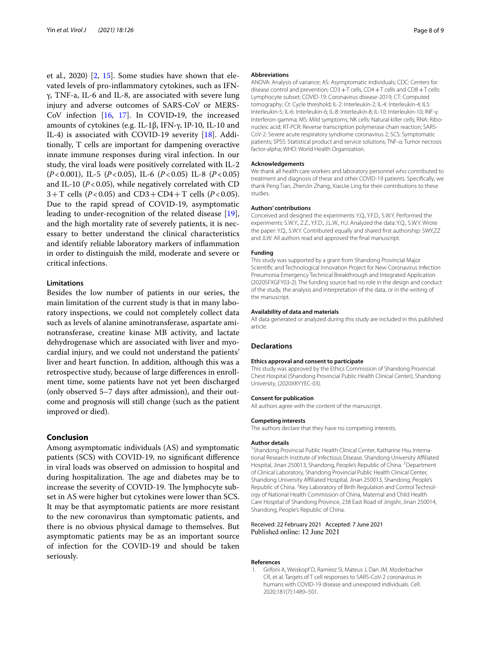et al., 2020) [\[2](#page-8-0), [15](#page-8-12)]. Some studies have shown that elevated levels of pro-infammatory cytokines, such as IFNγ, TNF-a, IL-6 and IL-8, are associated with severe lung injury and adverse outcomes of SARS-CoV or MERS-CoV infection [[16,](#page-8-13) [17\]](#page-8-14). In COVID**‐**19, the increased amounts of cytokines (e.g. IL‐1β, IFN‐γ, IP‐10, IL‐10 and IL‐4) is associated with COVID-19 severity [[18\]](#page-8-15). Additionally, T cells are important for dampening overactive innate immune responses during viral infection. In our study, the viral loads were positively correlated with IL-2 (*P*<0.001), IL-5 (*P*<0.05), IL-6 (*P*<0.05) IL-8 (*P*<0.05) and IL-10 ( $P < 0.05$ ), while negatively correlated with CD  $3+T$  cells (*P*<0.05) and CD3+CD4+T cells (*P*<0.05). Due to the rapid spread of COVID-19, asymptomatic leading to under-recognition of the related disease [\[19](#page-8-16)], and the high mortality rate of severely patients, it is necessary to better understand the clinical characteristics and identify reliable laboratory markers of infammation in order to distinguish the mild, moderate and severe or critical infections.

## **Limitations**

Besides the low number of patients in our series, the main limitation of the current study is that in many laboratory inspections, we could not completely collect data such as levels of alanine aminotransferase, aspartate aminotransferase, creatine kinase MB activity, and lactate dehydrogenase which are associated with liver and myocardial injury, and we could not understand the patients' liver and heart function. In addition, although this was a retrospective study, because of large diferences in enrollment time, some patients have not yet been discharged (only observed 5–7 days after admission), and their outcome and prognosis will still change (such as the patient improved or died).

## **Conclusion**

Among asymptomatic individuals (AS) and symptomatic patients (SCS) with COVID-19, no signifcant diference in viral loads was observed on admission to hospital and during hospitalization. The age and diabetes may be to increase the severity of COVID-19. The lymphocyte subset in AS were higher but cytokines were lower than SCS. It may be that asymptomatic patients are more resistant to the new coronavirus than symptomatic patients, and there is no obvious physical damage to themselves. But asymptomatic patients may be as an important source of infection for the COVID-19 and should be taken seriously.

#### **Abbreviations**

ANOVA: Analysis of variance; AS: Asymptomatic individuals; CDC: Centers for disease control and prevention; CD3 + T cells, CD4 + T cells and CD8 + T cells: Lymphocyte subset; COVID-19: Coronavirus disease-2019; CT: Computed tomography; Ct: Cycle threshold; IL-2: Interleukin-2; IL-4: Interleukin-4; IL5: Interleukin-5; IL-6: Interleukin-6; IL-8: Interleukin-8; IL-10: Interleukin-10; INF-γ: Interferon-gamma; MS: Mild symptoms; NK cells: Natural killer cells; RNA: Ribonucleic acid; RT-PCR: Reverse transcription polymerase chain reaction; SARS-CoV-2: Severe acute respiratory syndrome coronavirus 2; SCS: Symptomatic patients; SPSS: Statistical product and service solutions; TNF-α: Tumor necrosis factor-alpha; WHO: World Health Organization.

#### **Acknowledgements**

We thank all health care workers and laboratory personnel who contributed to treatment and diagnosis of these and other COVID-19 patients. Specifcally, we thank Peng Tian, ZhenJin Zhang, XiaoJie Ling for their contributions to these studies.

#### **Authors' contributions**

Conceived and designed the experiments: Y.Q., Y.F.D., S.W.Y. Performed the experiments: S.W.Y., Z.Z., Y.F.D., J.L.W., H.J. Analyzed the data: Y.Q., S.W.Y. Wrote the paper: Y.Q., S.W.Y. Contributed equally and shared frst authorship: SWY,ZZ and JLW. All authors read and approved the fnal manuscript.

#### **Funding**

This study was supported by a grant from Shandong Provincial Major Scientifc and Technological Innovation Project for New Coronavirus Infection Pneumonia Emergency Technical Breakthrough and Integrated Application (2020SFXGFY03-2). The funding source had no role in the design and conduct of the study, the analysis and interpretation of the data, or in the writing of the manuscript.

#### **Availability of data and materials**

All data generated or analyzed during this study are included in this published article.

### **Declarations**

#### **Ethics approval and consent to participate**

This study was approved by the Ethics Commission of Shandong Provincial Chest Hospital (Shandong Provincial Public Health Clinical Center), Shandong University, (2020XKYYEC-03).

#### **Consent for publication**

All authors agree with the content of the manuscript.

### **Competing interests**

The authors declare that they have no competing interests.

### **Author details**

<sup>1</sup> Shandong Provincial Public Health Clinical Center, Katharine Hsu International Research Institute of Infectious Disease, Shandong University Afliated Hospital, Jinan 250013, Shandong, People's Republic of China. <sup>2</sup> Department of Clinical Laboratory, Shandong Provincial Public Health Clinical Center, Shandong University Affiliated Hospital, Jinan 250013, Shandong, People's Republic of China. <sup>3</sup> Key Laboratory of Birth Regulation and Control Technology of National Health Commission of China, Maternal and Child Health Care Hospital of Shandong Province, 238 East Road of Jingshi, Jinan 250014, Shandong, People's Republic of China.

## Received: 22 February 2021 Accepted: 7 June 2021 Published online: 12 June 2021

#### **References**

<span id="page-7-0"></span>1. Grifoni A, Weiskopf D, Ramirez SI, Mateus J, Dan JM, Moderbacher CR, et al. Targets of T cell responses to SARS-CoV-2 coronavirus in humans with COVID-19 disease and unexposed individuals. Cell. 2020;181(7):1489–501.